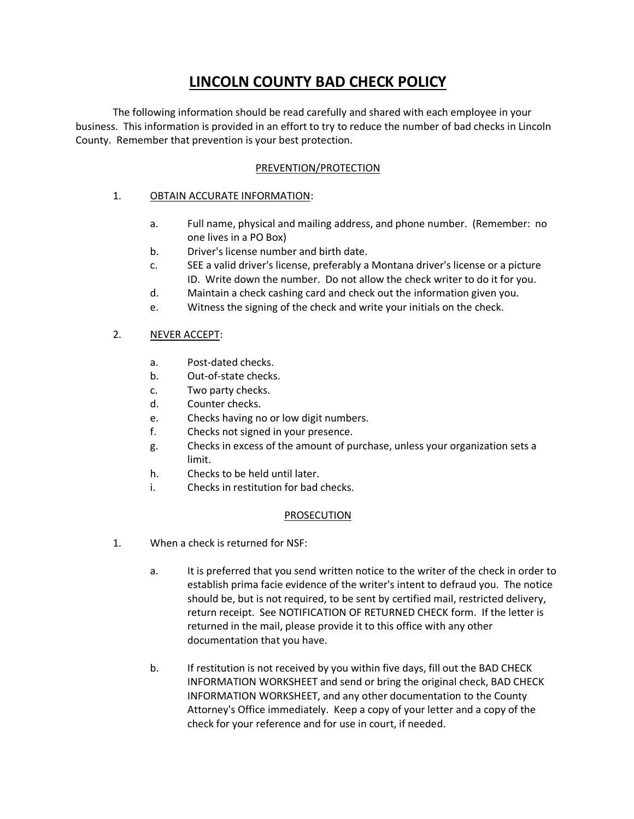# **LINCOLN COUNTY BAD CHECK POLICY**

The following information should be read carefully and shared with each employee in your business. This information is provided in an effort to try to reduce the number of bad checks in Lincoln County. Remember that prevention is your best protection.

## PREVENTION/PROTECTION

#### 1. OBTAIN ACCURATE INFORMATION:

- a. Full name, physical and mailing address, and phone number. (Remember: no one lives in a PO Box)
- b. Driver's license number and birth date.
- c. SEE a valid driver's license, preferably a Montana driver's license or a picture ID. Write down the number. Do not allow the check writer to do it for you.
- d. Maintain a check cashing card and check out the information given you.
- e. Witness the signing of the check and write your initials on the check.

### 2. NEVER ACCEPT:

- a. Post-dated checks.
- b. Out-of-state checks.
- c. Two party checks.
- d. Counter checks.
- e. Checks having no or low digit numbers.
- f. Checks not signed in your presence.
- g. Checks in excess of the amount of purchase, unless your organization sets a limit.
- h. Checks to be held until later.
- i. Checks in restitution for bad checks.

#### PROSECUTION

- 1. When a check is returned for NSF:
	- a. It is preferred that you send written notice to the writer of the check in order to establish prima facie evidence of the writer's intent to defraud you. The notice should be, but is not required, to be sent by certified mail, restricted delivery, return receipt. See NOTIFICATION OF RETURNED CHECK form. If the letter is returned in the mail, please provide it to this office with any other documentation that you have.
	- b. If restitution is not received by you within five days, fill out the BAD CHECK INFORMATION WORKSHEET and send or bring the original check, BAD CHECK INFORMATION WORKSHEET, and any other documentation to the County Attorney's Office immediately. Keep a copy of your letter and a copy of the check for your reference and for use in court, if needed.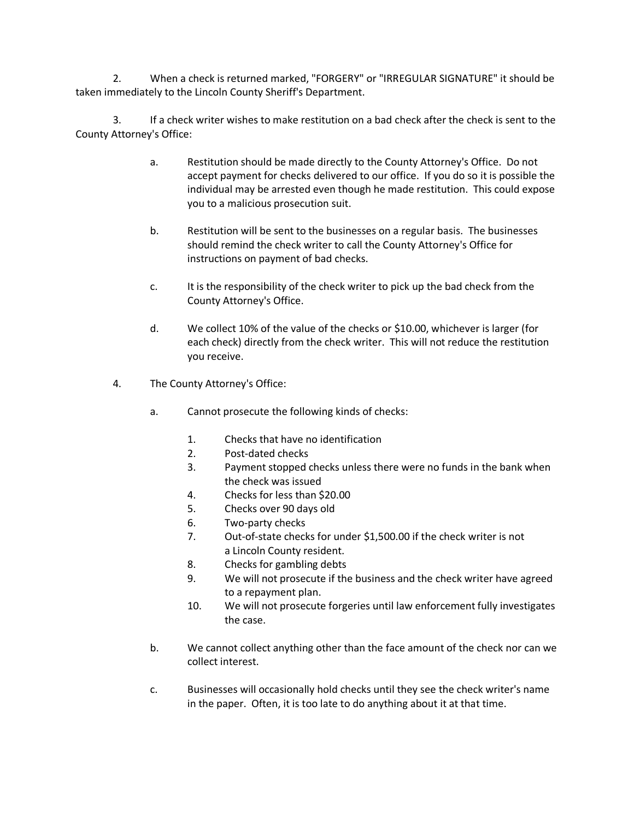2. When a check is returned marked, "FORGERY" or "IRREGULAR SIGNATURE" it should be taken immediately to the Lincoln County Sheriff's Department.

3. If a check writer wishes to make restitution on a bad check after the check is sent to the County Attorney's Office:

- a. Restitution should be made directly to the County Attorney's Office. Do not accept payment for checks delivered to our office. If you do so it is possible the individual may be arrested even though he made restitution. This could expose you to a malicious prosecution suit.
- b. Restitution will be sent to the businesses on a regular basis. The businesses should remind the check writer to call the County Attorney's Office for instructions on payment of bad checks.
- c. It is the responsibility of the check writer to pick up the bad check from the County Attorney's Office.
- d. We collect 10% of the value of the checks or \$10.00, whichever is larger (for each check) directly from the check writer. This will not reduce the restitution you receive.
- 4. The County Attorney's Office:
	- a. Cannot prosecute the following kinds of checks:
		- 1. Checks that have no identification
		- 2. Post-dated checks
		- 3. Payment stopped checks unless there were no funds in the bank when the check was issued
		- 4. Checks for less than \$20.00
		- 5. Checks over 90 days old
		- 6. Two-party checks
		- 7. Out-of-state checks for under \$1,500.00 if the check writer is not a Lincoln County resident.
		- 8. Checks for gambling debts
		- 9. We will not prosecute if the business and the check writer have agreed to a repayment plan.
		- 10. We will not prosecute forgeries until law enforcement fully investigates the case.
	- b. We cannot collect anything other than the face amount of the check nor can we collect interest.
	- c. Businesses will occasionally hold checks until they see the check writer's name in the paper. Often, it is too late to do anything about it at that time.